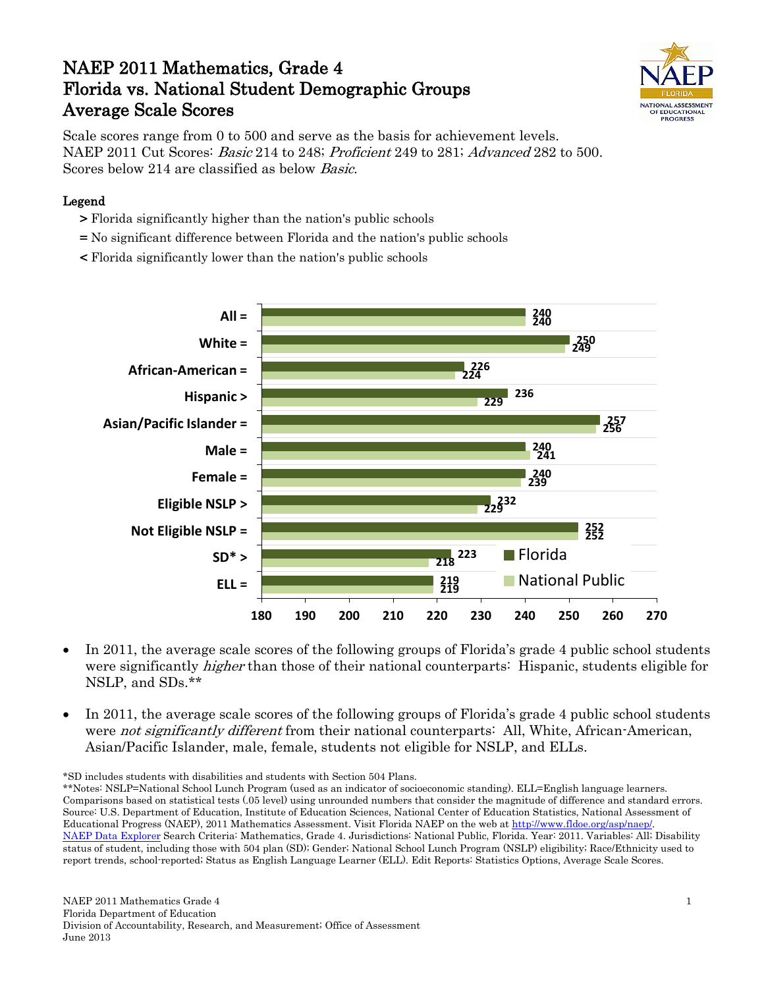# NAEP 2011 Mathematics, Grade 4 Florida vs. National Student Demographic Groups Average Scale Scores



Scale scores range from 0 to 500 and serve as the basis for achievement levels. NAEP 2011 Cut Scores: Basic 214 to 248; Proficient 249 to 281; Advanced 282 to 500. Scores below 214 are classified as below Basic.

#### Legend

- > Florida significantly higher than the nation's public schools
- = No significant difference between Florida and the nation's public schools
- < Florida significantly lower than the nation's public schools



- In 2011, the average scale scores of the following groups of Florida's grade 4 public school students were significantly *higher* than those of their national counterparts: Hispanic, students eligible for NSLP, and SDs.\*\*
- In 2011, the average scale scores of the following groups of Florida's grade 4 public school students were *not significantly different* from their national counterparts: All, White, African-American, Asian/Pacific Islander, male, female, students not eligible for NSLP, and ELLs.

\*SD includes students with disabilities and students with Section 504 Plans.

\*\*Notes: NSLP=National School Lunch Program (used as an indicator of socioeconomic standing). ELL=English language learners. Comparisons based on statistical tests (.05 level) using unrounded numbers that consider the magnitude of difference and standard errors. Source: U.S. Department of Education, Institute of Education Sciences, National Center of Education Statistics, National Assessment of Educational Progress (NAEP), 2011 Mathematics Assessment. Visit Florida NAEP on the web a[t http://www.fldoe.org/asp/naep/.](http://www.fldoe.org/asp/naep/) [NAEP Data Explorer](http://nces.ed.gov/nationsreportcard/naepdata/) Search Criteria: Mathematics, Grade 4. Jurisdictions: National Public, Florida. Year: 2011. Variables: All; Disability status of student, including those with 504 plan (SD); Gender; National School Lunch Program (NSLP) eligibility; Race/Ethnicity used to report trends, school-reported; Status as English Language Learner (ELL). Edit Reports: Statistics Options, Average Scale Scores.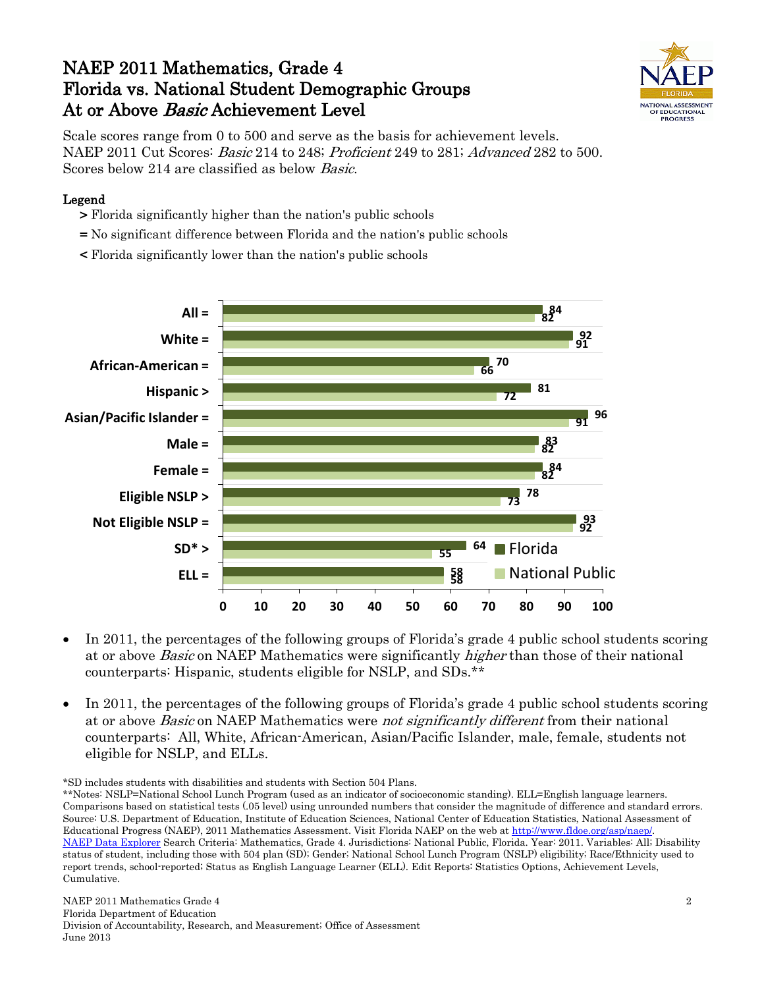## NAEP 2011 Mathematics, Grade 4 Florida vs. National Student Demographic Groups At or Above *Basic* Achievement Level



Scale scores range from 0 to 500 and serve as the basis for achievement levels. NAEP 2011 Cut Scores: Basic 214 to 248; Proficient 249 to 281; Advanced 282 to 500. Scores below 214 are classified as below Basic.

#### Legend

- > Florida significantly higher than the nation's public schools
- = No significant difference between Florida and the nation's public schools
- < Florida significantly lower than the nation's public schools



- In 2011, the percentages of the following groups of Florida's grade 4 public school students scoring at or above Basic on NAEP Mathematics were significantly higher than those of their national counterparts: Hispanic, students eligible for NSLP, and SDs.\*\*
- In 2011, the percentages of the following groups of Florida's grade 4 public school students scoring at or above Basic on NAEP Mathematics were not significantly different from their national counterparts: All, White, African-American, Asian/Pacific Islander, male, female, students not eligible for NSLP, and ELLs.

\*SD includes students with disabilities and students with Section 504 Plans.

\*\*Notes: NSLP=National School Lunch Program (used as an indicator of socioeconomic standing). ELL=English language learners. Comparisons based on statistical tests (.05 level) using unrounded numbers that consider the magnitude of difference and standard errors. Source: U.S. Department of Education, Institute of Education Sciences, National Center of Education Statistics, National Assessment of Educational Progress (NAEP), 2011 Mathematics Assessment. Visit Florida NAEP on the web a[t http://www.fldoe.org/asp/naep/.](http://www.fldoe.org/asp/naep/) [NAEP Data Explorer](http://nces.ed.gov/nationsreportcard/naepdata/) Search Criteria: Mathematics, Grade 4. Jurisdictions: National Public, Florida. Year: 2011. Variables: All; Disability status of student, including those with 504 plan (SD); Gender; National School Lunch Program (NSLP) eligibility; Race/Ethnicity used to report trends, school-reported; Status as English Language Learner (ELL). Edit Reports: Statistics Options, Achievement Levels, Cumulative.